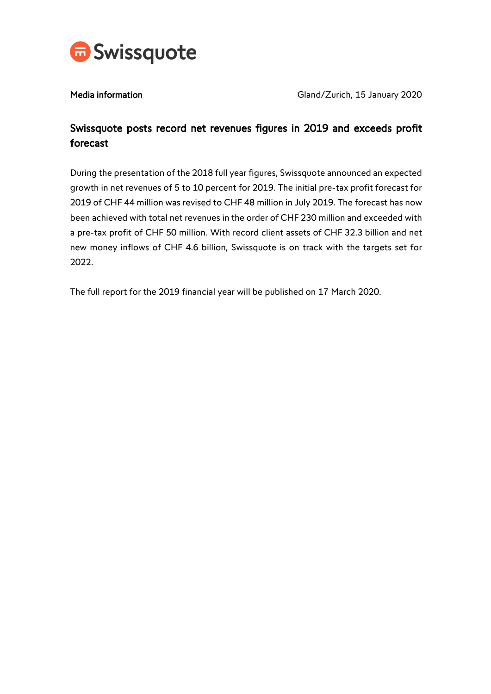

Media information Media information Cland/Zurich, 15 January 2020

# Swissquote posts record net revenues figures in 2019 and exceeds profit forecast

During the presentation of the 2018 full year figures, Swissquote announced an expected growth in net revenues of 5 to 10 percent for 2019. The initial pre-tax profit forecast for 2019 of CHF 44 million was revised to CHF 48 million in July 2019. The forecast has now been achieved with total net revenues in the order of CHF 230 million and exceeded with a pre-tax profit of CHF 50 million. With record client assets of CHF 32.3 billion and net new money inflows of CHF 4.6 billion, Swissquote is on track with the targets set for 2022.

The full report for the 2019 financial year will be published on 17 March 2020.